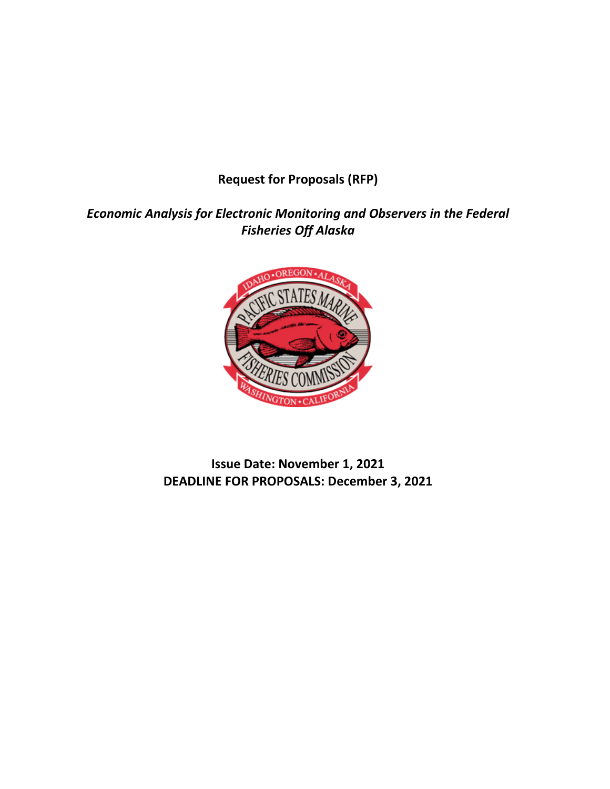**Request for Proposals (RFP)**

*Economic Analysis for Electronic Monitoring and Observers in the Federal Fisheries Off Alaska*



**Issue Date: November 1, 2021 DEADLINE FOR PROPOSALS: December 3, 2021**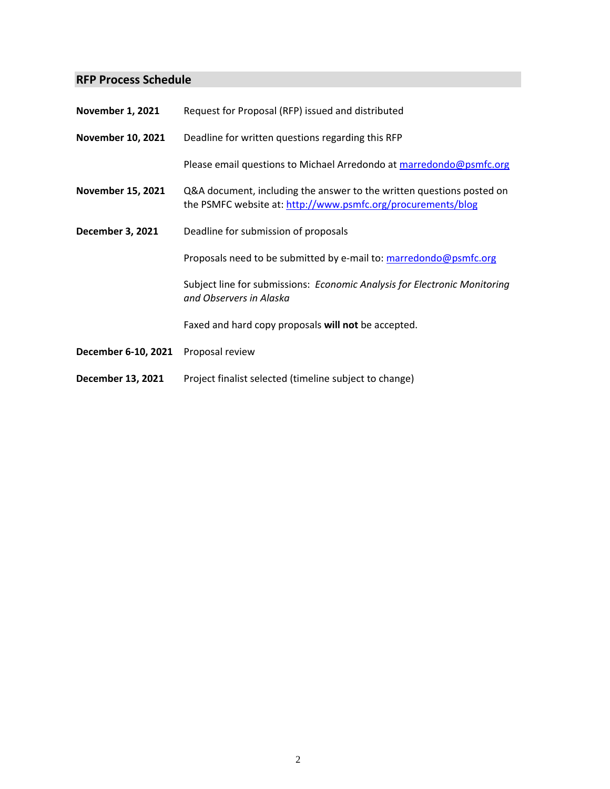# **RFP Process Schedule**

| <b>November 1, 2021</b>  | Request for Proposal (RFP) issued and distributed                                                                                     |
|--------------------------|---------------------------------------------------------------------------------------------------------------------------------------|
| <b>November 10, 2021</b> | Deadline for written questions regarding this RFP                                                                                     |
|                          | Please email questions to Michael Arredondo at marredondo@psmfc.org                                                                   |
| <b>November 15, 2021</b> | Q&A document, including the answer to the written questions posted on<br>the PSMFC website at: http://www.psmfc.org/procurements/blog |
| <b>December 3, 2021</b>  | Deadline for submission of proposals                                                                                                  |
|                          | Proposals need to be submitted by e-mail to: marredondo@psmfc.org                                                                     |
|                          | Subject line for submissions: Economic Analysis for Electronic Monitoring<br>and Observers in Alaska                                  |
|                          | Faxed and hard copy proposals will not be accepted.                                                                                   |
| December 6-10, 2021      | Proposal review                                                                                                                       |
| December 13, 2021        | Project finalist selected (timeline subject to change)                                                                                |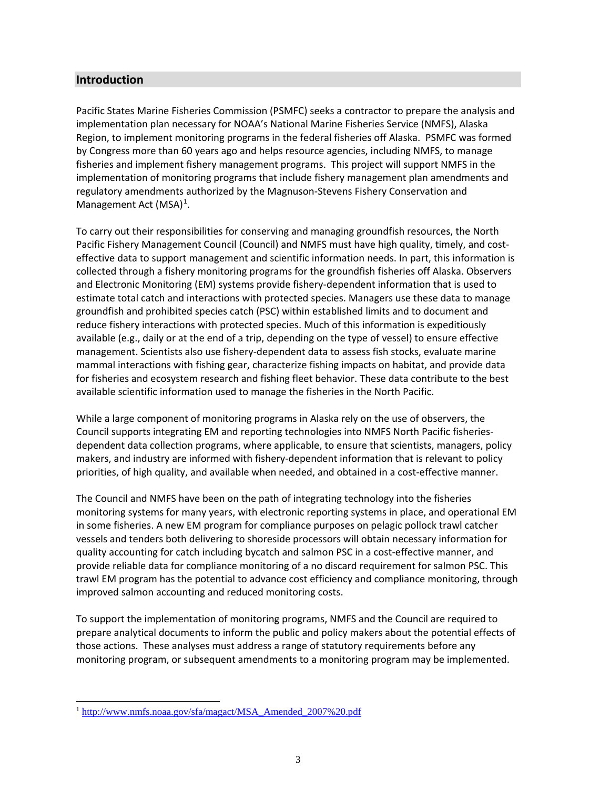# **Introduction**

Pacific States Marine Fisheries Commission (PSMFC) seeks a contractor to prepare the analysis and implementation plan necessary for NOAA's National Marine Fisheries Service (NMFS), Alaska Region, to implement monitoring programs in the federal fisheries off Alaska. PSMFC was formed by Congress more than 60 years ago and helps resource agencies, including NMFS, to manage fisheries and implement fishery management programs. This project will support NMFS in the implementation of monitoring programs that include fishery management plan amendments and regulatory amendments authorized by the Magnuson-Stevens Fishery Conservation and Management Act (MSA)<sup>[1](#page-2-0)</sup>.

To carry out their responsibilities for conserving and managing groundfish resources, the North Pacific Fishery Management Council (Council) and NMFS must have high quality, timely, and costeffective data to support management and scientific information needs. In part, this information is collected through a fishery monitoring programs for the groundfish fisheries off Alaska. Observers and Electronic Monitoring (EM) systems provide fishery-dependent information that is used to estimate total catch and interactions with protected species. Managers use these data to manage groundfish and prohibited species catch (PSC) within established limits and to document and reduce fishery interactions with protected species. Much of this information is expeditiously available (e.g., daily or at the end of a trip, depending on the type of vessel) to ensure effective management. Scientists also use fishery-dependent data to assess fish stocks, evaluate marine mammal interactions with fishing gear, characterize fishing impacts on habitat, and provide data for fisheries and ecosystem research and fishing fleet behavior. These data contribute to the best available scientific information used to manage the fisheries in the North Pacific.

While a large component of monitoring programs in Alaska rely on the use of observers, the Council supports integrating EM and reporting technologies into NMFS North Pacific fisheriesdependent data collection programs, where applicable, to ensure that scientists, managers, policy makers, and industry are informed with fishery-dependent information that is relevant to policy priorities, of high quality, and available when needed, and obtained in a cost-effective manner.

The Council and NMFS have been on the path of integrating technology into the fisheries monitoring systems for many years, with electronic reporting systems in place, and operational EM in some fisheries. A new EM program for compliance purposes on pelagic pollock trawl catcher vessels and tenders both delivering to shoreside processors will obtain necessary information for quality accounting for catch including bycatch and salmon PSC in a cost-effective manner, and provide reliable data for compliance monitoring of a no discard requirement for salmon PSC. This trawl EM program has the potential to advance cost efficiency and compliance monitoring, through improved salmon accounting and reduced monitoring costs.

To support the implementation of monitoring programs, NMFS and the Council are required to prepare analytical documents to inform the public and policy makers about the potential effects of those actions. These analyses must address a range of statutory requirements before any monitoring program, or subsequent amendments to a monitoring program may be implemented.

<span id="page-2-0"></span><sup>&</sup>lt;sup>1</sup> [http://www.nmfs.noaa.gov/sfa/magact/MSA\\_Amended\\_2007%20.pdf](http://www.nmfs.noaa.gov/sfa/magact/MSA_Amended_2007%20.pdf)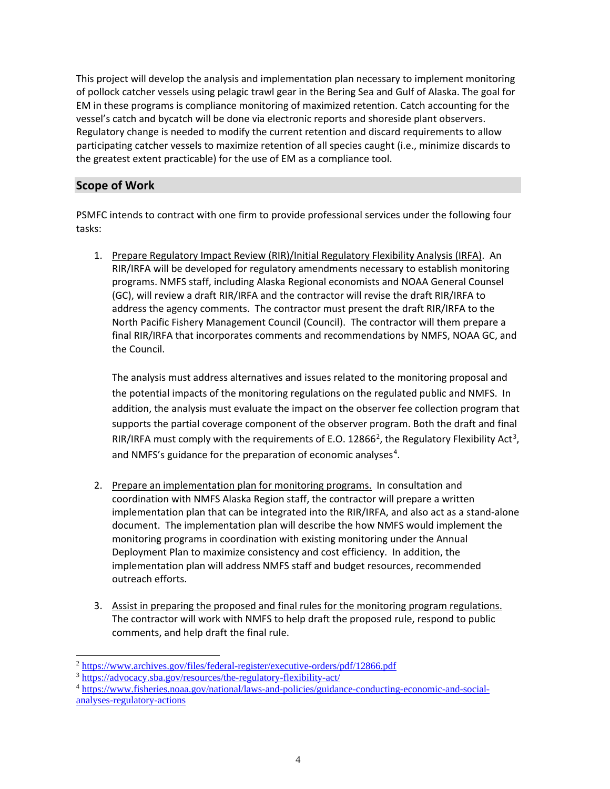This project will develop the analysis and implementation plan necessary to implement monitoring of pollock catcher vessels using pelagic trawl gear in the Bering Sea and Gulf of Alaska. The goal for EM in these programs is compliance monitoring of maximized retention. Catch accounting for the vessel's catch and bycatch will be done via electronic reports and shoreside plant observers. Regulatory change is needed to modify the current retention and discard requirements to allow participating catcher vessels to maximize retention of all species caught (i.e., minimize discards to the greatest extent practicable) for the use of EM as a compliance tool.

# **Scope of Work**

PSMFC intends to contract with one firm to provide professional services under the following four tasks:

1. Prepare Regulatory Impact Review (RIR)/Initial Regulatory Flexibility Analysis (IRFA). An RIR/IRFA will be developed for regulatory amendments necessary to establish monitoring programs. NMFS staff, including Alaska Regional economists and NOAA General Counsel (GC), will review a draft RIR/IRFA and the contractor will revise the draft RIR/IRFA to address the agency comments. The contractor must present the draft RIR/IRFA to the North Pacific Fishery Management Council (Council). The contractor will them prepare a final RIR/IRFA that incorporates comments and recommendations by NMFS, NOAA GC, and the Council.

The analysis must address alternatives and issues related to the monitoring proposal and the potential impacts of the monitoring regulations on the regulated public and NMFS. In addition, the analysis must evaluate the impact on the observer fee collection program that supports the partial coverage component of the observer program. Both the draft and final RIR/IRFA must comply with the requirements of E.O. 1[2](#page-3-0)866<sup>2</sup>, the Regulatory Flexibility Act<sup>[3](#page-3-1)</sup>, and NMFS's guidance for the preparation of economic analyses<sup>[4](#page-3-2)</sup>.

- 2. Prepare an implementation plan for monitoring programs. In consultation and coordination with NMFS Alaska Region staff, the contractor will prepare a written implementation plan that can be integrated into the RIR/IRFA, and also act as a stand-alone document. The implementation plan will describe the how NMFS would implement the monitoring programs in coordination with existing monitoring under the Annual Deployment Plan to maximize consistency and cost efficiency. In addition, the implementation plan will address NMFS staff and budget resources, recommended outreach efforts.
- 3. Assist in preparing the proposed and final rules for the monitoring program regulations. The contractor will work with NMFS to help draft the proposed rule, respond to public comments, and help draft the final rule.

<span id="page-3-0"></span> <sup>2</sup> <https://www.archives.gov/files/federal-register/executive-orders/pdf/12866.pdf>

<span id="page-3-1"></span><sup>3</sup> <https://advocacy.sba.gov/resources/the-regulatory-flexibility-act/>

<span id="page-3-2"></span><sup>4</sup> [https://www.fisheries.noaa.gov/national/laws-and-policies/guidance-conducting-economic-and-social](https://www.fisheries.noaa.gov/national/laws-and-policies/guidance-conducting-economic-and-social-analyses-regulatory-actions)[analyses-regulatory-actions](https://www.fisheries.noaa.gov/national/laws-and-policies/guidance-conducting-economic-and-social-analyses-regulatory-actions)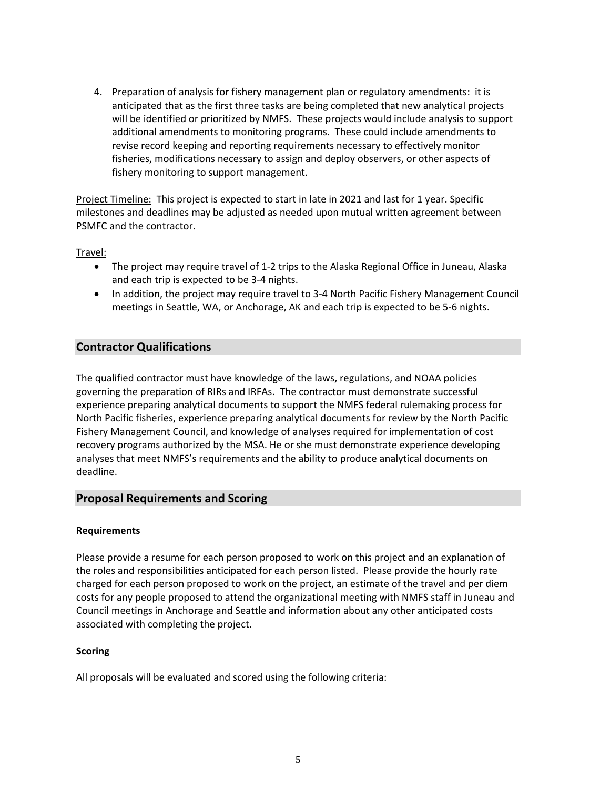4. Preparation of analysis for fishery management plan or regulatory amendments: it is anticipated that as the first three tasks are being completed that new analytical projects will be identified or prioritized by NMFS. These projects would include analysis to support additional amendments to monitoring programs. These could include amendments to revise record keeping and reporting requirements necessary to effectively monitor fisheries, modifications necessary to assign and deploy observers, or other aspects of fishery monitoring to support management.

Project Timeline: This project is expected to start in late in 2021 and last for 1 year. Specific milestones and deadlines may be adjusted as needed upon mutual written agreement between PSMFC and the contractor.

Travel:

- The project may require travel of 1-2 trips to the Alaska Regional Office in Juneau, Alaska and each trip is expected to be 3-4 nights.
- In addition, the project may require travel to 3-4 North Pacific Fishery Management Council meetings in Seattle, WA, or Anchorage, AK and each trip is expected to be 5-6 nights.

# **Contractor Qualifications**

The qualified contractor must have knowledge of the laws, regulations, and NOAA policies governing the preparation of RIRs and IRFAs. The contractor must demonstrate successful experience preparing analytical documents to support the NMFS federal rulemaking process for North Pacific fisheries, experience preparing analytical documents for review by the North Pacific Fishery Management Council, and knowledge of analyses required for implementation of cost recovery programs authorized by the MSA. He or she must demonstrate experience developing analyses that meet NMFS's requirements and the ability to produce analytical documents on deadline.

### **Proposal Requirements and Scoring**

#### **Requirements**

Please provide a resume for each person proposed to work on this project and an explanation of the roles and responsibilities anticipated for each person listed. Please provide the hourly rate charged for each person proposed to work on the project, an estimate of the travel and per diem costs for any people proposed to attend the organizational meeting with NMFS staff in Juneau and Council meetings in Anchorage and Seattle and information about any other anticipated costs associated with completing the project.

### **Scoring**

All proposals will be evaluated and scored using the following criteria: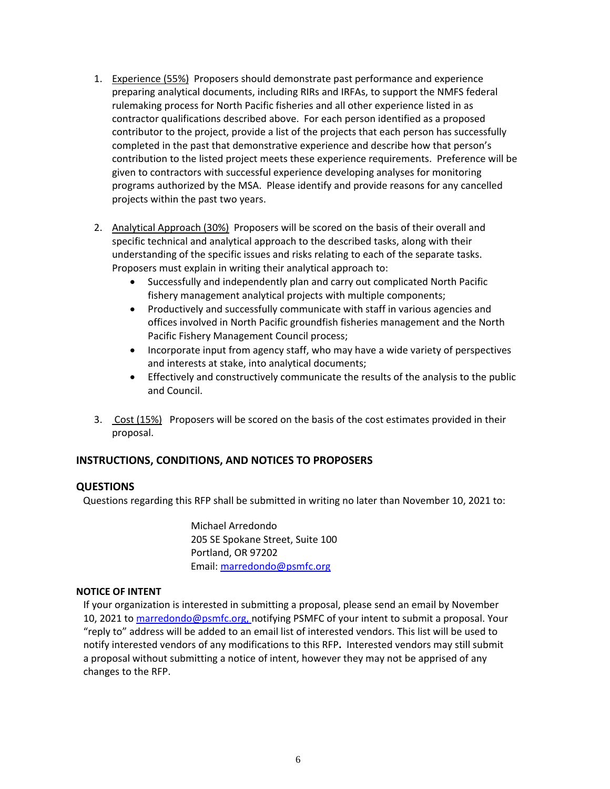- 1. Experience (55%)Proposers should demonstrate past performance and experience preparing analytical documents, including RIRs and IRFAs, to support the NMFS federal rulemaking process for North Pacific fisheries and all other experience listed in as contractor qualifications described above. For each person identified as a proposed contributor to the project, provide a list of the projects that each person has successfully completed in the past that demonstrative experience and describe how that person's contribution to the listed project meets these experience requirements. Preference will be given to contractors with successful experience developing analyses for monitoring programs authorized by the MSA. Please identify and provide reasons for any cancelled projects within the past two years.
- 2. Analytical Approach (30%)Proposers will be scored on the basis of their overall and specific technical and analytical approach to the described tasks, along with their understanding of the specific issues and risks relating to each of the separate tasks. Proposers must explain in writing their analytical approach to:
	- Successfully and independently plan and carry out complicated North Pacific fishery management analytical projects with multiple components;
	- Productively and successfully communicate with staff in various agencies and offices involved in North Pacific groundfish fisheries management and the North Pacific Fishery Management Council process;
	- Incorporate input from agency staff, who may have a wide variety of perspectives and interests at stake, into analytical documents;
	- Effectively and constructively communicate the results of the analysis to the public and Council.
- 3. Cost (15%) Proposers will be scored on the basis of the cost estimates provided in their proposal.

# **INSTRUCTIONS, CONDITIONS, AND NOTICES TO PROPOSERS**

# **QUESTIONS**

Questions regarding this RFP shall be submitted in writing no later than November 10, 2021 to:

Michael Arredondo 205 SE Spokane Street, Suite 100 Portland, OR 97202 Email: [marredondo@psmfc.org](mailto:marredondo@psmfc.org)

### **NOTICE OF INTENT**

If your organization is interested in submitting a proposal, please send an email by November 10, 2021 to [marredondo@psmfc.org, n](mailto:marredondo@psmfc.org,)otifying PSMFC of your intent to submit a proposal. Your "reply to" address will be added to an email list of interested vendors. This list will be used to notify interested vendors of any modifications to this RFP**.** Interested vendors may still submit a proposal without submitting a notice of intent, however they may not be apprised of any changes to the RFP.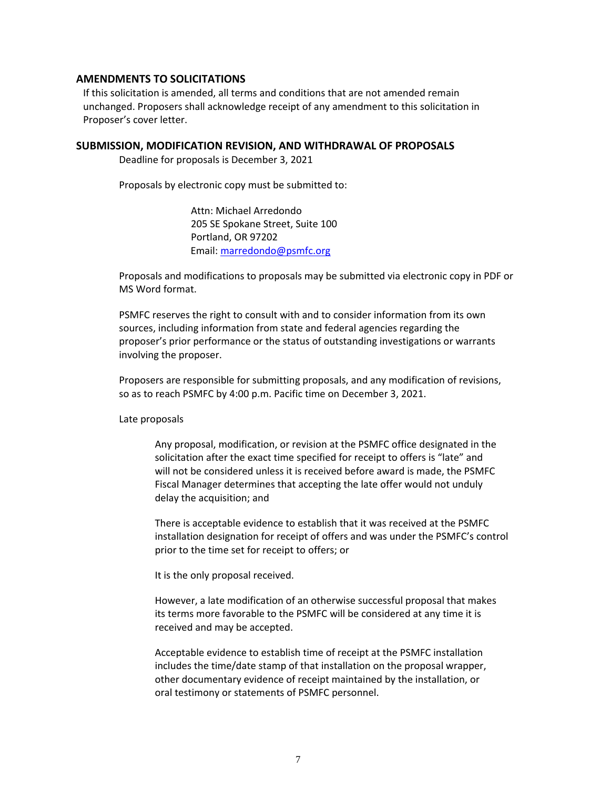### **AMENDMENTS TO SOLICITATIONS**

If this solicitation is amended, all terms and conditions that are not amended remain unchanged. Proposers shall acknowledge receipt of any amendment to this solicitation in Proposer's cover letter.

#### **SUBMISSION, MODIFICATION REVISION, AND WITHDRAWAL OF PROPOSALS**

Deadline for proposals is December 3, 2021

Proposals by electronic copy must be submitted to:

Attn: Michael Arredondo 205 SE Spokane Street, Suite 100 Portland, OR 97202 Email: [marredondo@psmfc.org](mailto:marredondo@psmfc.org)

Proposals and modifications to proposals may be submitted via electronic copy in PDF or MS Word format.

PSMFC reserves the right to consult with and to consider information from its own sources, including information from state and federal agencies regarding the proposer's prior performance or the status of outstanding investigations or warrants involving the proposer.

Proposers are responsible for submitting proposals, and any modification of revisions, so as to reach PSMFC by 4:00 p.m. Pacific time on December 3, 2021.

Late proposals

Any proposal, modification, or revision at the PSMFC office designated in the solicitation after the exact time specified for receipt to offers is "late" and will not be considered unless it is received before award is made, the PSMFC Fiscal Manager determines that accepting the late offer would not unduly delay the acquisition; and

There is acceptable evidence to establish that it was received at the PSMFC installation designation for receipt of offers and was under the PSMFC's control prior to the time set for receipt to offers; or

It is the only proposal received.

However, a late modification of an otherwise successful proposal that makes its terms more favorable to the PSMFC will be considered at any time it is received and may be accepted.

Acceptable evidence to establish time of receipt at the PSMFC installation includes the time/date stamp of that installation on the proposal wrapper, other documentary evidence of receipt maintained by the installation, or oral testimony or statements of PSMFC personnel.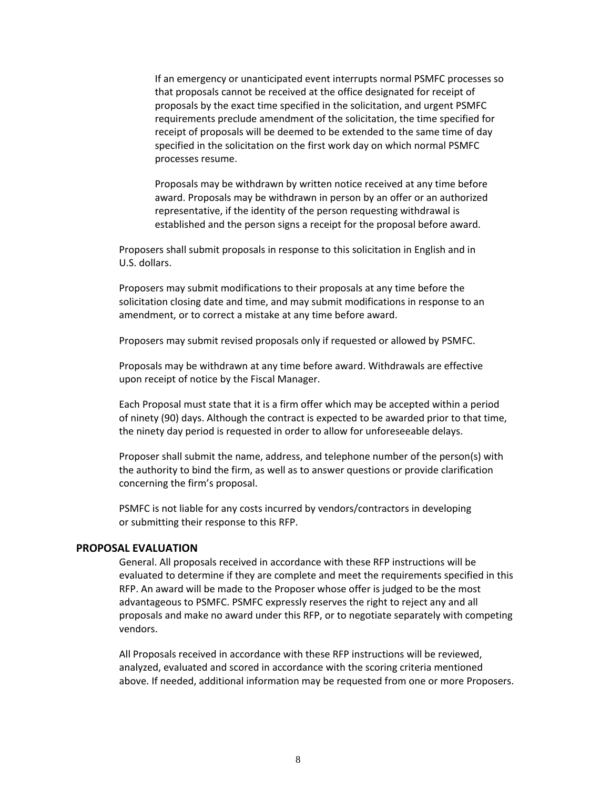If an emergency or unanticipated event interrupts normal PSMFC processes so that proposals cannot be received at the office designated for receipt of proposals by the exact time specified in the solicitation, and urgent PSMFC requirements preclude amendment of the solicitation, the time specified for receipt of proposals will be deemed to be extended to the same time of day specified in the solicitation on the first work day on which normal PSMFC processes resume.

Proposals may be withdrawn by written notice received at any time before award. Proposals may be withdrawn in person by an offer or an authorized representative, if the identity of the person requesting withdrawal is established and the person signs a receipt for the proposal before award.

Proposers shall submit proposals in response to this solicitation in English and in U.S. dollars.

Proposers may submit modifications to their proposals at any time before the solicitation closing date and time, and may submit modifications in response to an amendment, or to correct a mistake at any time before award.

Proposers may submit revised proposals only if requested or allowed by PSMFC.

Proposals may be withdrawn at any time before award. Withdrawals are effective upon receipt of notice by the Fiscal Manager.

Each Proposal must state that it is a firm offer which may be accepted within a period of ninety (90) days. Although the contract is expected to be awarded prior to that time, the ninety day period is requested in order to allow for unforeseeable delays.

Proposer shall submit the name, address, and telephone number of the person(s) with the authority to bind the firm, as well as to answer questions or provide clarification concerning the firm's proposal.

PSMFC is not liable for any costs incurred by vendors/contractors in developing or submitting their response to this RFP.

### **PROPOSAL EVALUATION**

General. All proposals received in accordance with these RFP instructions will be evaluated to determine if they are complete and meet the requirements specified in this RFP. An award will be made to the Proposer whose offer is judged to be the most advantageous to PSMFC. PSMFC expressly reserves the right to reject any and all proposals and make no award under this RFP, or to negotiate separately with competing vendors.

All Proposals received in accordance with these RFP instructions will be reviewed, analyzed, evaluated and scored in accordance with the scoring criteria mentioned above. If needed, additional information may be requested from one or more Proposers.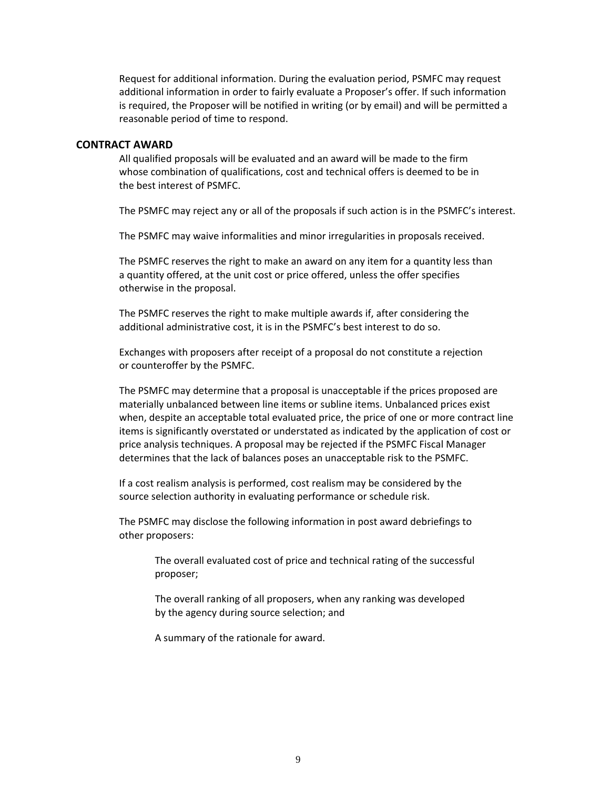Request for additional information. During the evaluation period, PSMFC may request additional information in order to fairly evaluate a Proposer's offer. If such information is required, the Proposer will be notified in writing (or by email) and will be permitted a reasonable period of time to respond.

#### **CONTRACT AWARD**

All qualified proposals will be evaluated and an award will be made to the firm whose combination of qualifications, cost and technical offers is deemed to be in the best interest of PSMFC.

The PSMFC may reject any or all of the proposals if such action is in the PSMFC's interest.

The PSMFC may waive informalities and minor irregularities in proposals received.

The PSMFC reserves the right to make an award on any item for a quantity less than a quantity offered, at the unit cost or price offered, unless the offer specifies otherwise in the proposal.

The PSMFC reserves the right to make multiple awards if, after considering the additional administrative cost, it is in the PSMFC's best interest to do so.

Exchanges with proposers after receipt of a proposal do not constitute a rejection or counteroffer by the PSMFC.

The PSMFC may determine that a proposal is unacceptable if the prices proposed are materially unbalanced between line items or subline items. Unbalanced prices exist when, despite an acceptable total evaluated price, the price of one or more contract line items is significantly overstated or understated as indicated by the application of cost or price analysis techniques. A proposal may be rejected if the PSMFC Fiscal Manager determines that the lack of balances poses an unacceptable risk to the PSMFC.

If a cost realism analysis is performed, cost realism may be considered by the source selection authority in evaluating performance or schedule risk.

The PSMFC may disclose the following information in post award debriefings to other proposers:

> The overall evaluated cost of price and technical rating of the successful proposer;

The overall ranking of all proposers, when any ranking was developed by the agency during source selection; and

A summary of the rationale for award.